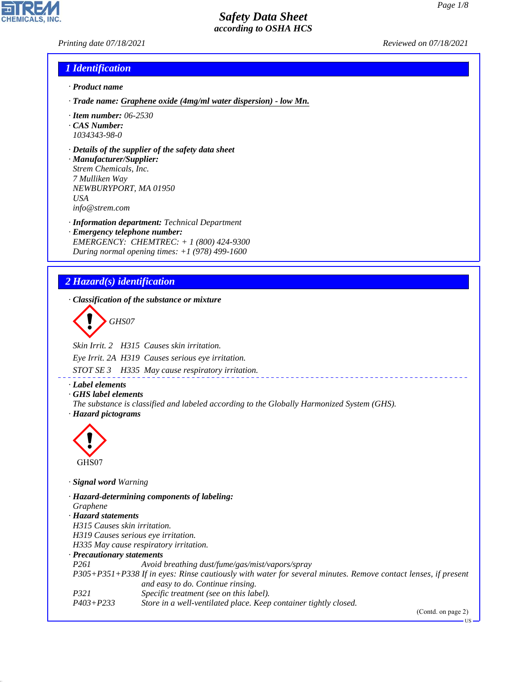*Printing date 07/18/2021 Reviewed on 07/18/2021*

## *1 Identification*

- *· Product name*
- *· Trade name: Graphene oxide (4mg/ml water dispersion) low Mn.*
- *· Item number: 06-2530*
- *· CAS Number: 1034343-98-0*
- *· Details of the supplier of the safety data sheet*
- *· Manufacturer/Supplier: Strem Chemicals, Inc. 7 Mulliken Way NEWBURYPORT, MA 01950 USA info@strem.com*
- *· Information department: Technical Department · Emergency telephone number: EMERGENCY: CHEMTREC: + 1 (800) 424-9300 During normal opening times: +1 (978) 499-1600*

# *2 Hazard(s) identification*

*· Classification of the substance or mixture*

d~*GHS07*

*Skin Irrit. 2 H315 Causes skin irritation.*

*Eye Irrit. 2A H319 Causes serious eye irritation.*

*STOT SE 3 H335 May cause respiratory irritation.*

*· Label elements*

*· GHS label elements*

*The substance is classified and labeled according to the Globally Harmonized System (GHS). · Hazard pictograms*



44.1.1

*· Signal word Warning*

*· Hazard-determining components of labeling: Graphene · Hazard statements H315 Causes skin irritation. H319 Causes serious eye irritation. H335 May cause respiratory irritation. · Precautionary statements P261 Avoid breathing dust/fume/gas/mist/vapors/spray P305+P351+P338 If in eyes: Rinse cautiously with water for several minutes. Remove contact lenses, if present and easy to do. Continue rinsing. P321 Specific treatment (see on this label). P403+P233 Store in a well-ventilated place. Keep container tightly closed.*

(Contd. on page 2)

US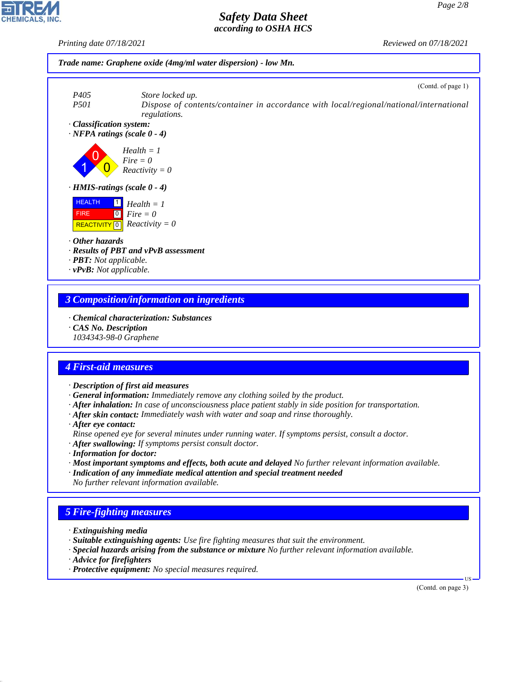*Printing date 07/18/2021 Reviewed on 07/18/2021*





## *3 Composition/information on ingredients*

- *· Chemical characterization: Substances*
- *· CAS No. Description*

*1034343-98-0 Graphene*

# *4 First-aid measures*

- *· Description of first aid measures*
- *· General information: Immediately remove any clothing soiled by the product.*
- *· After inhalation: In case of unconsciousness place patient stably in side position for transportation.*
- *· After skin contact: Immediately wash with water and soap and rinse thoroughly.*
- *· After eye contact:*
- *Rinse opened eye for several minutes under running water. If symptoms persist, consult a doctor.*
- *· After swallowing: If symptoms persist consult doctor.*
- *· Information for doctor:*
- *· Most important symptoms and effects, both acute and delayed No further relevant information available.*
- *· Indication of any immediate medical attention and special treatment needed No further relevant information available.*

# *5 Fire-fighting measures*

- *· Extinguishing media*
- *· Suitable extinguishing agents: Use fire fighting measures that suit the environment.*
- *· Special hazards arising from the substance or mixture No further relevant information available.*
- *· Advice for firefighters*

44.1.1

*· Protective equipment: No special measures required.*

(Contd. on page 3)

US

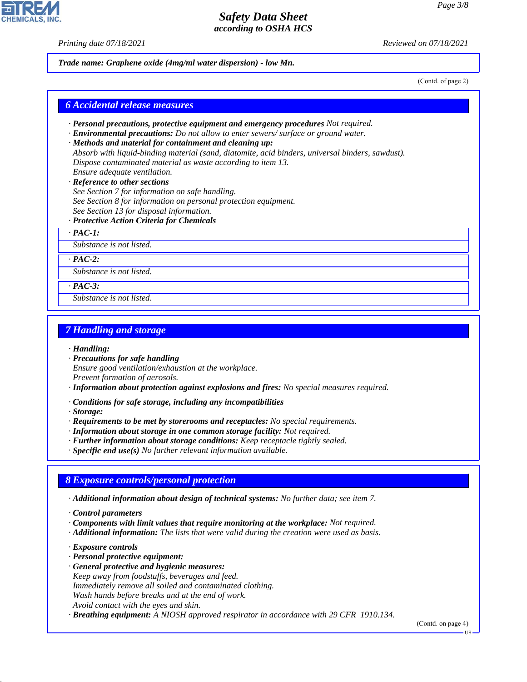*Printing date 07/18/2021 Reviewed on 07/18/2021*

*Trade name: Graphene oxide (4mg/ml water dispersion) - low Mn.*

(Contd. of page 2)

#### *6 Accidental release measures*

- *· Personal precautions, protective equipment and emergency procedures Not required.*
- *· Environmental precautions: Do not allow to enter sewers/ surface or ground water.*
- *· Methods and material for containment and cleaning up: Absorb with liquid-binding material (sand, diatomite, acid binders, universal binders, sawdust). Dispose contaminated material as waste according to item 13. Ensure adequate ventilation.*

### *· Reference to other sections*

- *See Section 7 for information on safe handling.*
- *See Section 8 for information on personal protection equipment.*
- *See Section 13 for disposal information.*
- *· Protective Action Criteria for Chemicals*
- *· PAC-1:*

*Substance is not listed.*

#### *· PAC-2:*

*Substance is not listed.*

#### *· PAC-3:*

*Substance is not listed.*

## *7 Handling and storage*

- *· Handling:*
- *· Precautions for safe handling Ensure good ventilation/exhaustion at the workplace. Prevent formation of aerosols.*
- *· Information about protection against explosions and fires: No special measures required.*
- *· Conditions for safe storage, including any incompatibilities*

*· Storage:*

- *· Requirements to be met by storerooms and receptacles: No special requirements.*
- *· Information about storage in one common storage facility: Not required.*
- *· Further information about storage conditions: Keep receptacle tightly sealed.*
- *· Specific end use(s) No further relevant information available.*

# *8 Exposure controls/personal protection*

*· Additional information about design of technical systems: No further data; see item 7.*

- *· Components with limit values that require monitoring at the workplace: Not required.*
- *· Additional information: The lists that were valid during the creation were used as basis.*
- *· Exposure controls*

44.1.1

- *· Personal protective equipment:*
- *· General protective and hygienic measures:*
- *Keep away from foodstuffs, beverages and feed.*
- *Immediately remove all soiled and contaminated clothing.*
- *Wash hands before breaks and at the end of work.*
- *Avoid contact with the eyes and skin.*

*· Breathing equipment: A NIOSH approved respirator in accordance with 29 CFR 1910.134.*

(Contd. on page 4)

*<sup>·</sup> Control parameters*

US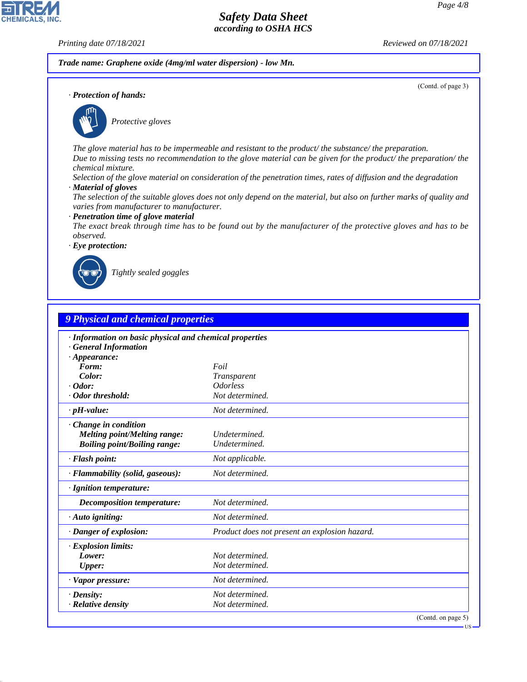(Contd. of page 3)

# *Safety Data Sheet according to OSHA HCS*

**CHEMICALS, INC** 

*Printing date 07/18/2021 Reviewed on 07/18/2021*

*Trade name: Graphene oxide (4mg/ml water dispersion) - low Mn.*

*· Protection of hands:*



\_S*Protective gloves*

*The glove material has to be impermeable and resistant to the product/ the substance/ the preparation. Due to missing tests no recommendation to the glove material can be given for the product/ the preparation/ the chemical mixture.*

*Selection of the glove material on consideration of the penetration times, rates of diffusion and the degradation*

- *· Material of gloves*
- *The selection of the suitable gloves does not only depend on the material, but also on further marks of quality and varies from manufacturer to manufacturer.*
- *· Penetration time of glove material*
- *The exact break through time has to be found out by the manufacturer of the protective gloves and has to be observed.*

*· Eye protection:*



44.1.1

\_R*Tightly sealed goggles*

| 9 Physical and chemical properties                      |                                               |  |  |  |  |
|---------------------------------------------------------|-----------------------------------------------|--|--|--|--|
| · Information on basic physical and chemical properties |                                               |  |  |  |  |
| <b>General Information</b>                              |                                               |  |  |  |  |
| $\cdot$ Appearance:                                     |                                               |  |  |  |  |
| Form:                                                   | Foil                                          |  |  |  |  |
| Color:                                                  | Transparent                                   |  |  |  |  |
| $\cdot$ Odor:                                           | <i><u><b>Odorless</b></u></i>                 |  |  |  |  |
| · Odor threshold:                                       | Not determined.                               |  |  |  |  |
| $\cdot$ pH-value:                                       | Not determined.                               |  |  |  |  |
| Change in condition                                     |                                               |  |  |  |  |
| Melting point/Melting range:                            | Undetermined.                                 |  |  |  |  |
| <b>Boiling point/Boiling range:</b>                     | <b>Undetermined</b>                           |  |  |  |  |
| · Flash point:                                          | Not applicable.                               |  |  |  |  |
| · Flammability (solid, gaseous):                        | Not determined.                               |  |  |  |  |
| · Ignition temperature:                                 |                                               |  |  |  |  |
| <b>Decomposition temperature:</b>                       | Not determined.                               |  |  |  |  |
| $\cdot$ Auto igniting:                                  | Not determined.                               |  |  |  |  |
| · Danger of explosion:                                  | Product does not present an explosion hazard. |  |  |  |  |
| · Explosion limits:                                     |                                               |  |  |  |  |
| Lower:                                                  | Not determined.                               |  |  |  |  |
| <b>Upper:</b>                                           | Not determined.                               |  |  |  |  |
| · Vapor pressure:                                       | Not determined.                               |  |  |  |  |
| $\cdot$ Density:                                        | Not determined.                               |  |  |  |  |
| · Relative density                                      | Not determined.                               |  |  |  |  |

**US**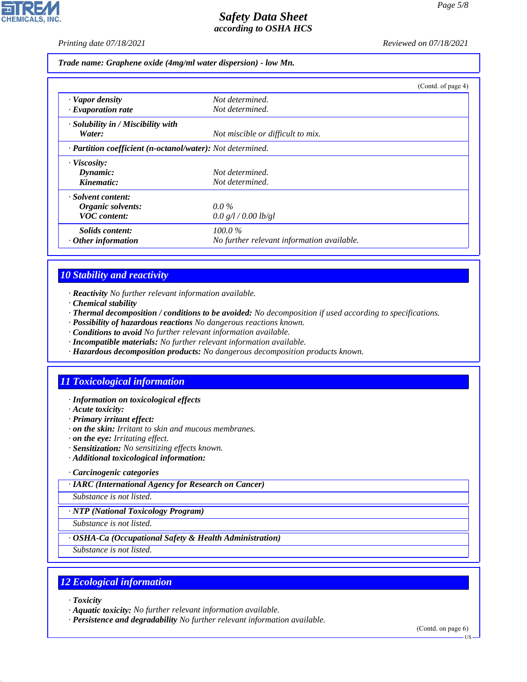**CHEMICALS, INC** 

*Printing date 07/18/2021 Reviewed on 07/18/2021*

*Trade name: Graphene oxide (4mg/ml water dispersion) - low Mn.*

|                                                            |                                            | (Contd. of page 4) |  |  |  |
|------------------------------------------------------------|--------------------------------------------|--------------------|--|--|--|
| · Vapor density                                            | Not determined.                            |                    |  |  |  |
| $\cdot$ Evaporation rate                                   | Not determined.                            |                    |  |  |  |
| · Solubility in / Miscibility with                         |                                            |                    |  |  |  |
| Water:                                                     | Not miscible or difficult to mix.          |                    |  |  |  |
| · Partition coefficient (n-octanol/water): Not determined. |                                            |                    |  |  |  |
| · Viscosity:                                               |                                            |                    |  |  |  |
| Dynamic:                                                   | Not determined.                            |                    |  |  |  |
| Kinematic:                                                 | Not determined.                            |                    |  |  |  |
| · Solvent content:                                         |                                            |                    |  |  |  |
| Organic solvents:                                          | $0.0\%$                                    |                    |  |  |  |
| <b>VOC</b> content:                                        | 0.0 g/l / 0.00 lb/gl                       |                    |  |  |  |
| Solids content:                                            | 100.0%                                     |                    |  |  |  |
| $\cdot$ Other information                                  | No further relevant information available. |                    |  |  |  |

# *10 Stability and reactivity*

- *· Reactivity No further relevant information available.*
- *· Chemical stability*
- *· Thermal decomposition / conditions to be avoided: No decomposition if used according to specifications.*
- *· Possibility of hazardous reactions No dangerous reactions known.*
- *· Conditions to avoid No further relevant information available.*
- *· Incompatible materials: No further relevant information available.*
- *· Hazardous decomposition products: No dangerous decomposition products known.*

# *11 Toxicological information*

- *· Information on toxicological effects*
- *· Acute toxicity:*
- *· Primary irritant effect:*
- *· on the skin: Irritant to skin and mucous membranes.*
- *· on the eye: Irritating effect.*
- *· Sensitization: No sensitizing effects known.*
- *· Additional toxicological information:*

#### *· Carcinogenic categories*

*· IARC (International Agency for Research on Cancer)*

*Substance is not listed.*

*· NTP (National Toxicology Program)*

*Substance is not listed.*

*· OSHA-Ca (Occupational Safety & Health Administration)*

*Substance is not listed.*

# *12 Ecological information*

*· Toxicity*

44.1.1

*· Aquatic toxicity: No further relevant information available.*

*· Persistence and degradability No further relevant information available.*

(Contd. on page 6)

US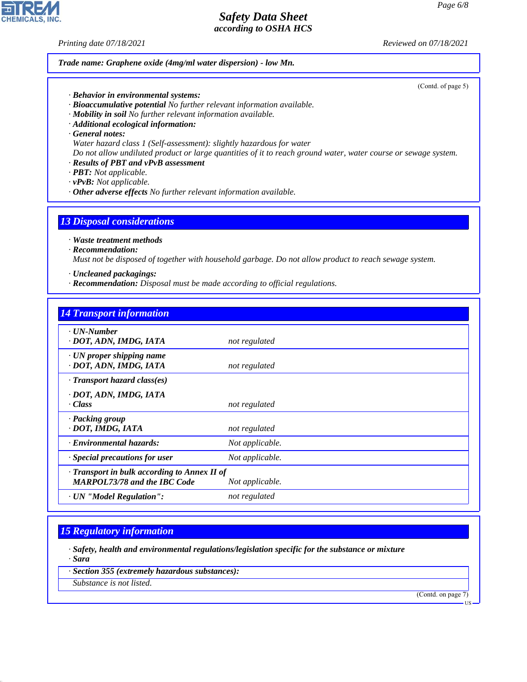*Printing date 07/18/2021 Reviewed on 07/18/2021*

*Trade name: Graphene oxide (4mg/ml water dispersion) - low Mn.*

*· Behavior in environmental systems:*

*· Bioaccumulative potential No further relevant information available.*

*· Mobility in soil No further relevant information available.*

*· Additional ecological information:*

*· General notes:*

*Water hazard class 1 (Self-assessment): slightly hazardous for water*

*Do not allow undiluted product or large quantities of it to reach ground water, water course or sewage system.*

*· Results of PBT and vPvB assessment*

*· PBT: Not applicable.*

*· vPvB: Not applicable.*

*· Other adverse effects No further relevant information available.*

# *13 Disposal considerations*

*· Waste treatment methods*

*· Recommendation:*

*Must not be disposed of together with household garbage. Do not allow product to reach sewage system.*

- *· Uncleaned packagings:*
- *· Recommendation: Disposal must be made according to official regulations.*

| <b>14 Transport information</b>                                                     |                 |
|-------------------------------------------------------------------------------------|-----------------|
| $\cdot$ UN-Number<br>· DOT, ADN, IMDG, IATA                                         | not regulated   |
| $\cdot$ UN proper shipping name<br>· DOT, ADN, IMDG, IATA                           | not regulated   |
| $\cdot$ Transport hazard class(es)                                                  |                 |
| · DOT, ADN, IMDG, IATA<br>· Class                                                   | not regulated   |
| · Packing group<br>· DOT, IMDG, IATA                                                | not regulated   |
| · Environmental hazards:                                                            | Not applicable. |
| Special precautions for user                                                        | Not applicable. |
| · Transport in bulk according to Annex II of<br><b>MARPOL73/78 and the IBC Code</b> | Not applicable. |
| · UN "Model Regulation":                                                            | not regulated   |

# *15 Regulatory information*

*· Safety, health and environmental regulations/legislation specific for the substance or mixture · Sara*

*· Section 355 (extremely hazardous substances):*

*Substance is not listed.*

44.1.1

(Contd. on page 7)



(Contd. of page 5)

US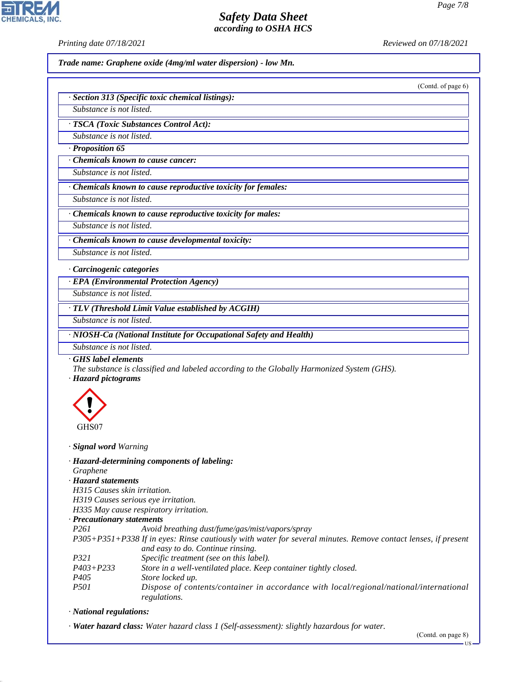**CHEMICALS.** 

*Printing date 07/18/2021 Reviewed on 07/18/2021*

*Trade name: Graphene oxide (4mg/ml water dispersion) - low Mn.*

(Contd. of page 6)

| · Section 313 (Specific toxic chemical listings): |  |  |
|---------------------------------------------------|--|--|
|                                                   |  |  |

*Substance is not listed.*

*· TSCA (Toxic Substances Control Act):*

*Substance is not listed. · Proposition 65*

*· Chemicals known to cause cancer:*

*Substance is not listed.*

*· Chemicals known to cause reproductive toxicity for females:*

*Substance is not listed.*

*· Chemicals known to cause reproductive toxicity for males:*

*Substance is not listed.*

*· Chemicals known to cause developmental toxicity: Substance is not listed.*

*· Carcinogenic categories*

*· EPA (Environmental Protection Agency)*

*Substance is not listed.*

*· TLV (Threshold Limit Value established by ACGIH)*

*Substance is not listed.*

*· NIOSH-Ca (National Institute for Occupational Safety and Health)*

*Substance is not listed.*

*· GHS label elements*

*The substance is classified and labeled according to the Globally Harmonized System (GHS).*

*· Hazard pictograms*



*· Signal word Warning*

- *· Hazard-determining components of labeling:*
- *Graphene*
- *· Hazard statements*

*H315 Causes skin irritation.*

*H319 Causes serious eye irritation.*

*H335 May cause respiratory irritation.*

#### *· Precautionary statements*

*P261 Avoid breathing dust/fume/gas/mist/vapors/spray*

*P305+P351+P338 If in eyes: Rinse cautiously with water for several minutes. Remove contact lenses, if present and easy to do. Continue rinsing.*

- *P321 Specific treatment (see on this label).*
- *P403+P233 Store in a well-ventilated place. Keep container tightly closed. P405 Store locked up.*
- *P501 Dispose of contents/container in accordance with local/regional/national/international regulations.*

*· National regulations:*

44.1.1

*· Water hazard class: Water hazard class 1 (Self-assessment): slightly hazardous for water.*